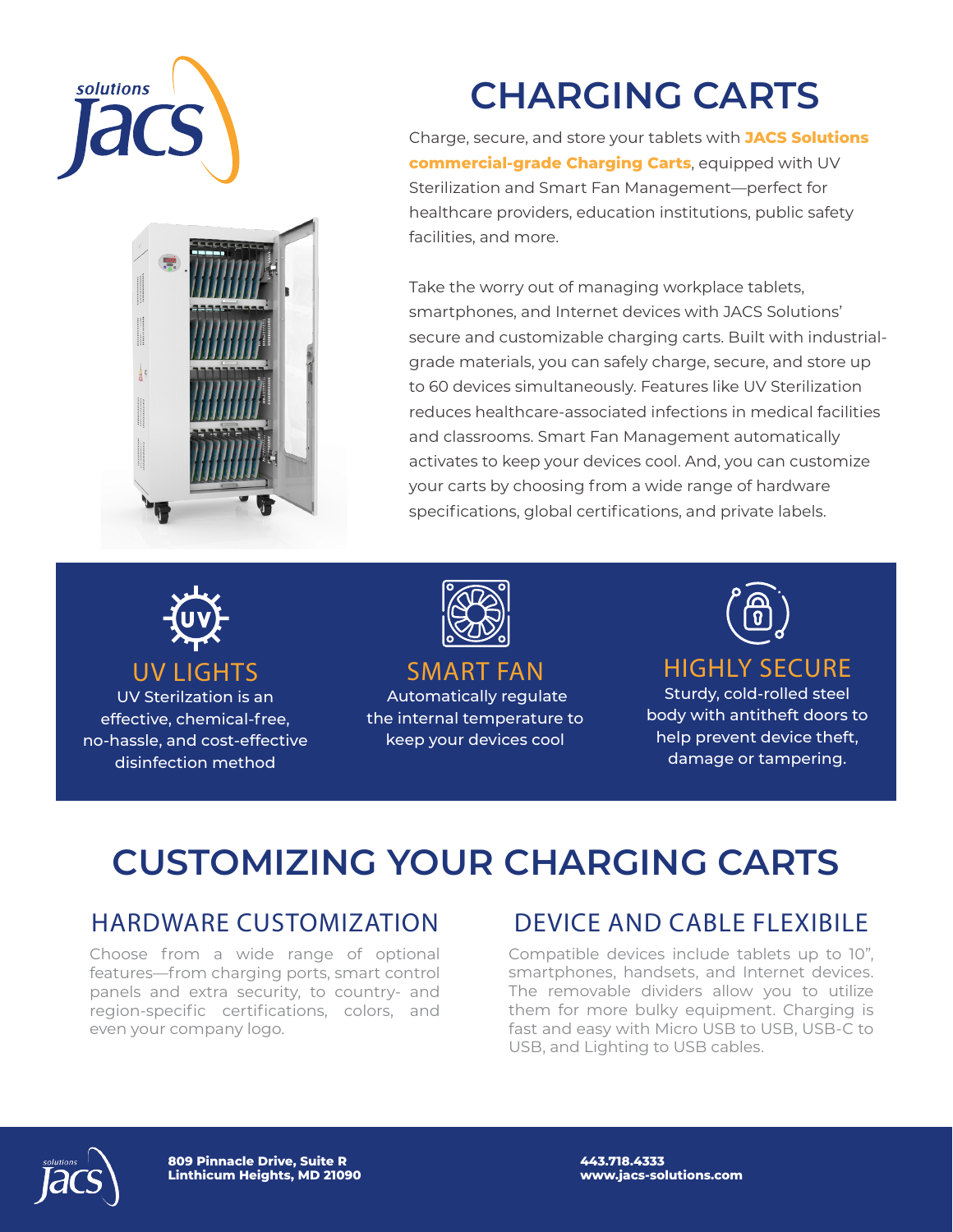



# **CHARGING CARTS**

Charge, secure, and store your tablets with **JACS Solutions commercial-grade Charging Carts**, equipped with UV Sterilization and Smart Fan Management—perfect for healthcare providers, education institutions, public safety facilities, and more.

Take the worry out of managing workplace tablets, smartphones, and Internet devices with JACS Solutions' secure and customizable charging carts. Built with industrialgrade materials, you can safely charge, secure, and store up to 60 devices simultaneously. Features like UV Sterilization reduces healthcare-associated infections in medical facilities and classrooms. Smart Fan Management automatically activates to keep your devices cool. And, you can customize your carts by choosing from a wide range of hardware specifications, global certifications, and private labels.



UV LIGHTS UV Sterilzation is an effective, chemical-free, no-hassle, and cost-effective disinfection method



SMART FAN Automatically regulate

the internal temperature to keep your devices cool



#### HIGHLY SECURE

Sturdy, cold-rolled steel body with antitheft doors to help prevent device theft, damage or tampering.

## **CUSTOMIZING YOUR CHARGING CARTS**

#### HARDWARE CUSTOMIZATION

Choose from a wide range of optional features—from charging ports, smart control panels and extra security, to country- and region-specific certifications, colors, and even your company logo.

### DEVICE AND CABLE FLEXIBILE

Compatible devices include tablets up to 10", smartphones, handsets, and Internet devices. The removable dividers allow you to utilize them for more bulky equipment. Charging is fast and easy with Micro USB to USB, USB-C to USB, and Lighting to USB cables.



**809 Pinnacle Drive, Suite R Linthicum Heights, MD 21090** **443.718.4333 www.jacs-solutions.com**